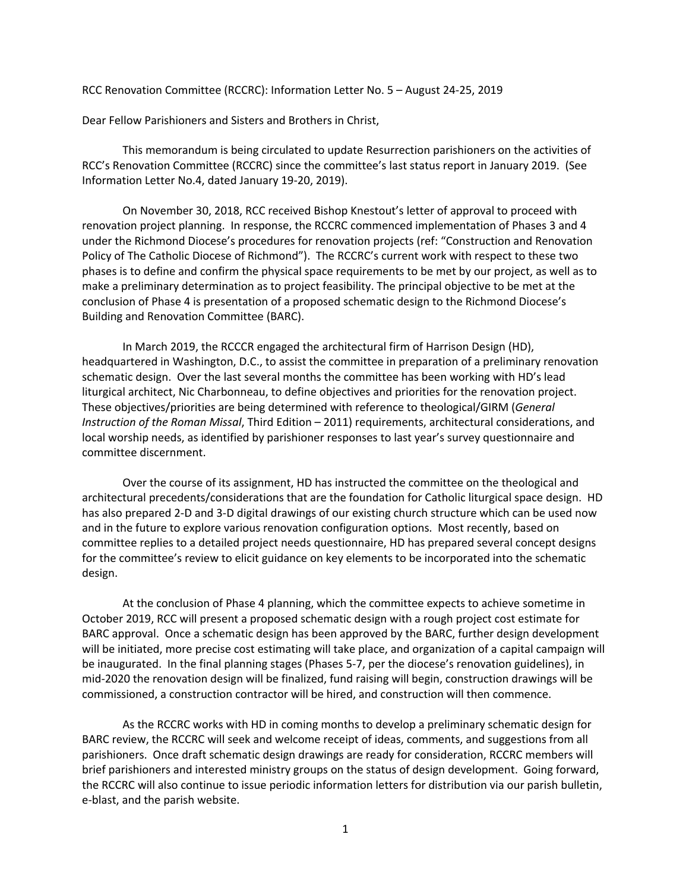RCC Renovation Committee (RCCRC): Information Letter No. 5 – August 24-25, 2019

Dear Fellow Parishioners and Sisters and Brothers in Christ,

This memorandum is being circulated to update Resurrection parishioners on the activities of RCC's Renovation Committee (RCCRC) since the committee's last status report in January 2019. (See Information Letter No.4, dated January 19-20, 2019).

On November 30, 2018, RCC received Bishop Knestout's letter of approval to proceed with renovation project planning. In response, the RCCRC commenced implementation of Phases 3 and 4 under the Richmond Diocese's procedures for renovation projects (ref: "Construction and Renovation Policy of The Catholic Diocese of Richmond"). The RCCRC's current work with respect to these two phases is to define and confirm the physical space requirements to be met by our project, as well as to make a preliminary determination as to project feasibility. The principal objective to be met at the conclusion of Phase 4 is presentation of a proposed schematic design to the Richmond Diocese's Building and Renovation Committee (BARC).

In March 2019, the RCCCR engaged the architectural firm of Harrison Design (HD), headquartered in Washington, D.C., to assist the committee in preparation of a preliminary renovation schematic design. Over the last several months the committee has been working with HD's lead liturgical architect, Nic Charbonneau, to define objectives and priorities for the renovation project. These objectives/priorities are being determined with reference to theological/GIRM (*General Instruction of the Roman Missal*, Third Edition – 2011) requirements, architectural considerations, and local worship needs, as identified by parishioner responses to last year's survey questionnaire and committee discernment.

Over the course of its assignment, HD has instructed the committee on the theological and architectural precedents/considerations that are the foundation for Catholic liturgical space design. HD has also prepared 2-D and 3-D digital drawings of our existing church structure which can be used now and in the future to explore various renovation configuration options. Most recently, based on committee replies to a detailed project needs questionnaire, HD has prepared several concept designs for the committee's review to elicit guidance on key elements to be incorporated into the schematic design.

At the conclusion of Phase 4 planning, which the committee expects to achieve sometime in October 2019, RCC will present a proposed schematic design with a rough project cost estimate for BARC approval. Once a schematic design has been approved by the BARC, further design development will be initiated, more precise cost estimating will take place, and organization of a capital campaign will be inaugurated. In the final planning stages (Phases 5-7, per the diocese's renovation guidelines), in mid-2020 the renovation design will be finalized, fund raising will begin, construction drawings will be commissioned, a construction contractor will be hired, and construction will then commence.

As the RCCRC works with HD in coming months to develop a preliminary schematic design for BARC review, the RCCRC will seek and welcome receipt of ideas, comments, and suggestions from all parishioners. Once draft schematic design drawings are ready for consideration, RCCRC members will brief parishioners and interested ministry groups on the status of design development. Going forward, the RCCRC will also continue to issue periodic information letters for distribution via our parish bulletin, e-blast, and the parish website.